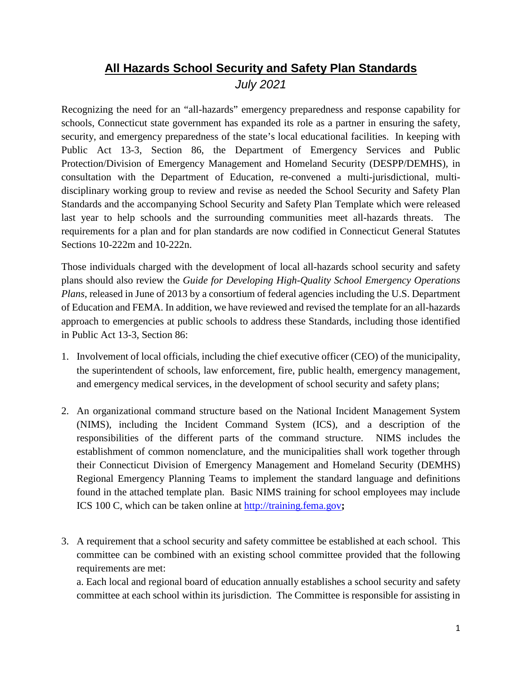## **All Hazards School Security and Safety Plan Standards** *July 2021*

Recognizing the need for an "all-hazards" emergency preparedness and response capability for schools, Connecticut state government has expanded its role as a partner in ensuring the safety, security, and emergency preparedness of the state's local educational facilities. In keeping with Public Act 13-3, Section 86, the Department of Emergency Services and Public Protection/Division of Emergency Management and Homeland Security (DESPP/DEMHS), in consultation with the Department of Education, re-convened a multi-jurisdictional, multidisciplinary working group to review and revise as needed the School Security and Safety Plan Standards and the accompanying School Security and Safety Plan Template which were released last year to help schools and the surrounding communities meet all-hazards threats. The requirements for a plan and for plan standards are now codified in Connecticut General Statutes Sections 10-222m and 10-222n.

Those individuals charged with the development of local all-hazards school security and safety plans should also review the *Guide for Developing High-Quality School Emergency Operations Plans*, released in June of 2013 by a consortium of federal agencies including the U.S. Department of Education and FEMA. In addition, we have reviewed and revised the template for an all-hazards approach to emergencies at public schools to address these Standards, including those identified in Public Act 13-3, Section 86:

- 1. Involvement of local officials, including the chief executive officer (CEO) of the municipality, the superintendent of schools, law enforcement, fire, public health, emergency management, and emergency medical services, in the development of school security and safety plans;
- 2. An organizational command structure based on the National Incident Management System (NIMS), including the Incident Command System (ICS), and a description of the responsibilities of the different parts of the command structure. NIMS includes the establishment of common nomenclature, and the municipalities shall work together through their Connecticut Division of Emergency Management and Homeland Security (DEMHS) Regional Emergency Planning Teams to implement the standard language and definitions found in the attached template plan. Basic NIMS training for school employees may include ICS 100 C, which can be taken online at [http://training.fema.gov](http://training.fema.gov/)**;**
- 3. A requirement that a school security and safety committee be established at each school. This committee can be combined with an existing school committee provided that the following requirements are met:

a. Each local and regional board of education annually establishes a school security and safety committee at each school within its jurisdiction. The Committee is responsible for assisting in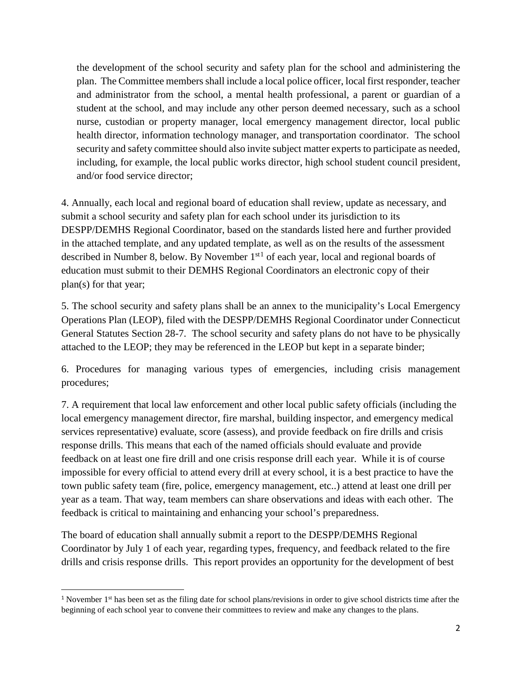the development of the school security and safety plan for the school and administering the plan. The Committee members shall include a local police officer, local first responder, teacher and administrator from the school, a mental health professional, a parent or guardian of a student at the school, and may include any other person deemed necessary, such as a school nurse, custodian or property manager, local emergency management director, local public health director, information technology manager, and transportation coordinator. The school security and safety committee should also invite subject matter experts to participate as needed, including, for example, the local public works director, high school student council president, and/or food service director;

4. Annually, each local and regional board of education shall review, update as necessary, and submit a school security and safety plan for each school under its jurisdiction to its DESPP/DEMHS Regional Coordinator, based on the standards listed here and further provided in the attached template, and any updated template, as well as on the results of the assessment described in Number 8, below. By November [1](#page-1-0)<sup>st1</sup> of each year, local and regional boards of education must submit to their DEMHS Regional Coordinators an electronic copy of their plan(s) for that year;

5. The school security and safety plans shall be an annex to the municipality's Local Emergency Operations Plan (LEOP), filed with the DESPP/DEMHS Regional Coordinator under Connecticut General Statutes Section 28-7. The school security and safety plans do not have to be physically attached to the LEOP; they may be referenced in the LEOP but kept in a separate binder;

6. Procedures for managing various types of emergencies, including crisis management procedures;

7. A requirement that local law enforcement and other local public safety officials (including the local emergency management director, fire marshal, building inspector, and emergency medical services representative) evaluate, score (assess), and provide feedback on fire drills and crisis response drills. This means that each of the named officials should evaluate and provide feedback on at least one fire drill and one crisis response drill each year. While it is of course impossible for every official to attend every drill at every school, it is a best practice to have the town public safety team (fire, police, emergency management, etc..) attend at least one drill per year as a team. That way, team members can share observations and ideas with each other. The feedback is critical to maintaining and enhancing your school's preparedness.

The board of education shall annually submit a report to the DESPP/DEMHS Regional Coordinator by July 1 of each year, regarding types, frequency, and feedback related to the fire drills and crisis response drills. This report provides an opportunity for the development of best

<span id="page-1-0"></span><sup>&</sup>lt;sup>1</sup> November  $1<sup>st</sup>$  has been set as the filing date for school plans/revisions in order to give school districts time after the beginning of each school year to convene their committees to review and make any changes to the plans.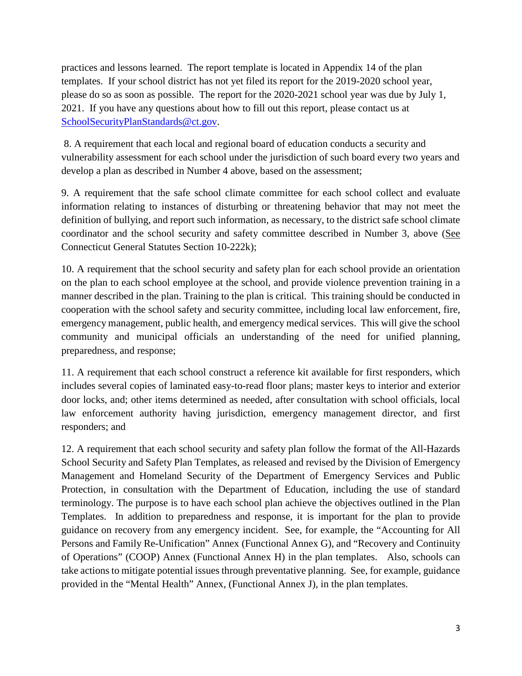practices and lessons learned. The report template is located in Appendix 14 of the plan templates. If your school district has not yet filed its report for the 2019-2020 school year, please do so as soon as possible. The report for the 2020-2021 school year was due by July 1, 2021. If you have any questions about how to fill out this report, please contact us at [SchoolSecurityPlanStandards@ct.gov.](mailto:SchoolSecurityPlanStandards@ct.gov)

8. A requirement that each local and regional board of education conducts a security and vulnerability assessment for each school under the jurisdiction of such board every two years and develop a plan as described in Number 4 above, based on the assessment;

9. A requirement that the safe school climate committee for each school collect and evaluate information relating to instances of disturbing or threatening behavior that may not meet the definition of bullying, and report such information, as necessary, to the district safe school climate coordinator and the school security and safety committee described in Number 3, above (See Connecticut General Statutes Section 10-222k);

10. A requirement that the school security and safety plan for each school provide an orientation on the plan to each school employee at the school, and provide violence prevention training in a manner described in the plan. Training to the plan is critical. This training should be conducted in cooperation with the school safety and security committee, including local law enforcement, fire, emergency management, public health, and emergency medical services. This will give the school community and municipal officials an understanding of the need for unified planning, preparedness, and response;

11. A requirement that each school construct a reference kit available for first responders, which includes several copies of laminated easy-to-read floor plans; master keys to interior and exterior door locks, and; other items determined as needed, after consultation with school officials, local law enforcement authority having jurisdiction, emergency management director, and first responders; and

12. A requirement that each school security and safety plan follow the format of the All-Hazards School Security and Safety Plan Templates, as released and revised by the Division of Emergency Management and Homeland Security of the Department of Emergency Services and Public Protection, in consultation with the Department of Education, including the use of standard terminology. The purpose is to have each school plan achieve the objectives outlined in the Plan Templates. In addition to preparedness and response, it is important for the plan to provide guidance on recovery from any emergency incident. See, for example, the "Accounting for All Persons and Family Re-Unification" Annex (Functional Annex G), and "Recovery and Continuity of Operations" (COOP) Annex (Functional Annex H) in the plan templates. Also, schools can take actions to mitigate potential issues through preventative planning. See, for example, guidance provided in the "Mental Health" Annex, (Functional Annex J), in the plan templates.